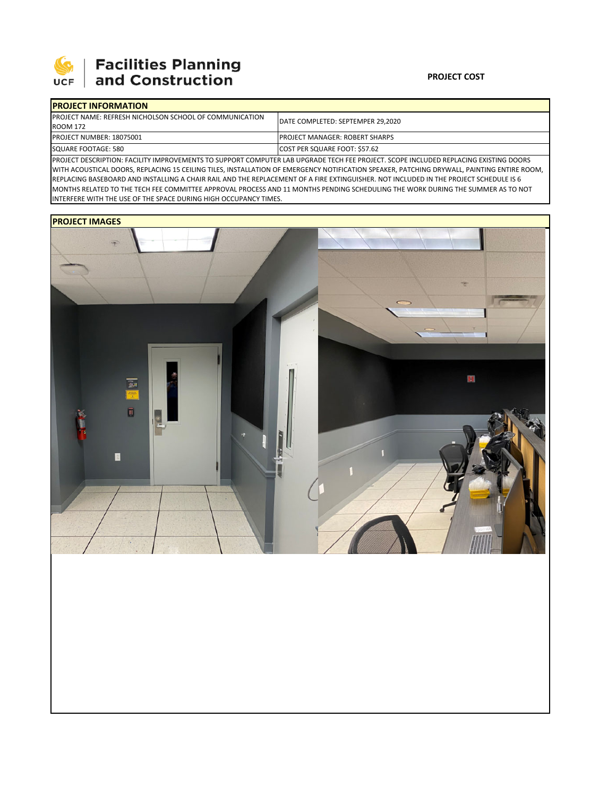

## 

| <b>IPROJECT INFORMATION</b>                                                                                                         |                                        |  |  |  |  |
|-------------------------------------------------------------------------------------------------------------------------------------|----------------------------------------|--|--|--|--|
| <b>IPROJECT NAME: REFRESH NICHOLSON SCHOOL OF COMMUNICATION</b>                                                                     | DATE COMPLETED: SEPTEMPER 29.2020      |  |  |  |  |
| <b>ROOM 172</b>                                                                                                                     |                                        |  |  |  |  |
| <b>PROJECT NUMBER: 18075001</b>                                                                                                     | <b>IPROJECT MANAGER: ROBERT SHARPS</b> |  |  |  |  |
| SQUARE FOOTAGE: 580                                                                                                                 | COST PER SQUARE FOOT: \$57.62          |  |  |  |  |
| BROILEE BECONDEION, EACHITY IMPROVEMENTS TO SUBBORT COMPUTER LAB URSBARE TESH EFE BROILET, COORE IMSULIBER BEBLASIMS EVICTIMS BOORS |                                        |  |  |  |  |

PROJECT DESCRIPTION: FACILITY IMPROVEMENTS TO SUPPORT COMPUTER LAB UPGRADE TECH FEE PROJECT. SCOPE INCLUDED REPLACING EXISTING DOORS WITH ACOUSTICAL DOORS, REPLACING 15 CEILING TILES, INSTALLATION OF EMERGENCY NOTIFICATION SPEAKER, PATCHING DRYWALL, PAINTING ENTIRE ROOM, REPLACING BASEBOARD AND INSTALLING A CHAIR RAIL AND THE REPLACEMENT OF A FIRE EXTINGUISHER. NOT INCLUDED IN THE PROJECT SCHEDULE IS 6 MONTHS RELATED TO THE TECH FEE COMMITTEE APPROVAL PROCESS AND 11 MONTHS PENDING SCHEDULING THE WORK DURING THE SUMMER AS TO NOT INTERFERE WITH THE USE OF THE SPACE DURING HIGH OCCUPANCY TIMES.

## **PROJECT IMAGES**